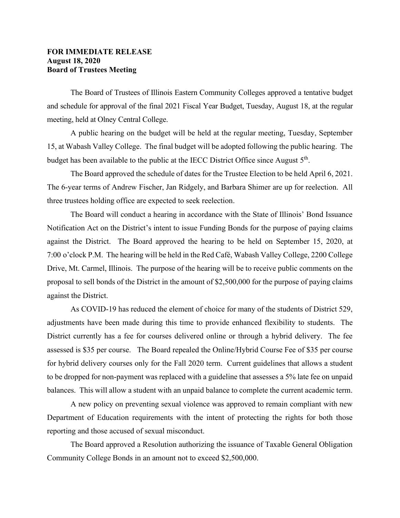## **FOR IMMEDIATE RELEASE August 18, 2020 Board of Trustees Meeting**

The Board of Trustees of Illinois Eastern Community Colleges approved a tentative budget and schedule for approval of the final 2021 Fiscal Year Budget, Tuesday, August 18, at the regular meeting, held at Olney Central College.

A public hearing on the budget will be held at the regular meeting, Tuesday, September 15, at Wabash Valley College. The final budget will be adopted following the public hearing. The budget has been available to the public at the IECC District Office since August  $5<sup>th</sup>$ .

The Board approved the schedule of dates for the Trustee Election to be held April 6, 2021. The 6-year terms of Andrew Fischer, Jan Ridgely, and Barbara Shimer are up for reelection. All three trustees holding office are expected to seek reelection.

The Board will conduct a hearing in accordance with the State of Illinois' Bond Issuance Notification Act on the District's intent to issue Funding Bonds for the purpose of paying claims against the District. The Board approved the hearing to be held on September 15, 2020, at 7:00 o'clock P.M. The hearing will be held in the Red Café, Wabash Valley College, 2200 College Drive, Mt. Carmel, Illinois. The purpose of the hearing will be to receive public comments on the proposal to sell bonds of the District in the amount of \$2,500,000 for the purpose of paying claims against the District.

 As COVID-19 has reduced the element of choice for many of the students of District 529, adjustments have been made during this time to provide enhanced flexibility to students. The District currently has a fee for courses delivered online or through a hybrid delivery. The fee assessed is \$35 per course. The Board repealed the Online/Hybrid Course Fee of \$35 per course for hybrid delivery courses only for the Fall 2020 term. Current guidelines that allows a student to be dropped for non-payment was replaced with a guideline that assesses a 5% late fee on unpaid balances. This will allow a student with an unpaid balance to complete the current academic term.

A new policy on preventing sexual violence was approved to remain compliant with new Department of Education requirements with the intent of protecting the rights for both those reporting and those accused of sexual misconduct.

The Board approved a Resolution authorizing the issuance of Taxable General Obligation Community College Bonds in an amount not to exceed \$2,500,000.